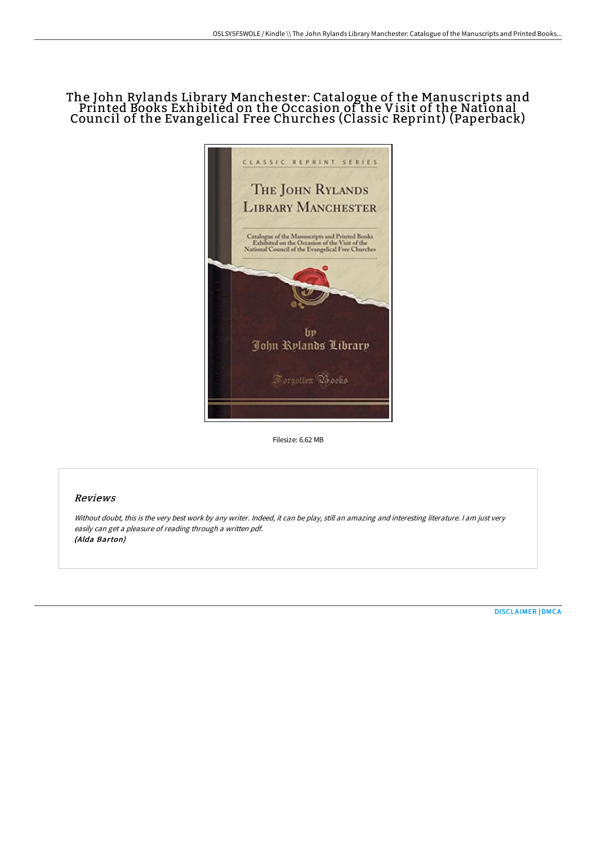# The John Rylands Library Manchester: Catalogue of the Manuscripts and Printed Books Exhibited on the Occasion of the Visit of the National Council of the Evangelical Free Churches (Classic Reprint) (Paperback)



Filesize: 6.62 MB

## Reviews

Without doubt, this is the very best work by any writer. Indeed, it can be play, still an amazing and interesting literature. I am just very easily can get <sup>a</sup> pleasure of reading through <sup>a</sup> written pdf. (Alda Barton)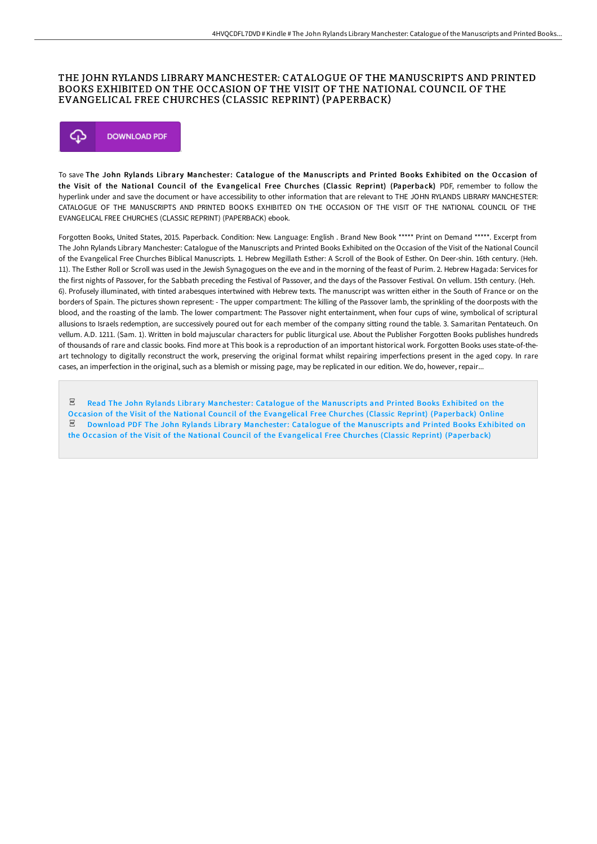## THE JOHN RYLANDS LIBRARY MANCHESTER: CATALOGUE OF THE MANUSCRIPTS AND PRINTED BOOKS EXHIBITED ON THE OCCASION OF THE VISIT OF THE NATIONAL COUNCIL OF THE EVANGELICAL FREE CHURCHES (CLASSIC REPRINT) (PAPERBACK)



To save The John Rylands Library Manchester: Catalogue of the Manuscripts and Printed Books Exhibited on the Occasion of the Visit of the National Council of the Evangelical Free Churches (Classic Reprint) (Paperback) PDF, remember to follow the hyperlink under and save the document or have accessibility to other information that are relevant to THE JOHN RYLANDS LIBRARY MANCHESTER: CATALOGUE OF THE MANUSCRIPTS AND PRINTED BOOKS EXHIBITED ON THE OCCASION OF THE VISIT OF THE NATIONAL COUNCIL OF THE EVANGELICAL FREE CHURCHES (CLASSIC REPRINT) (PAPERBACK) ebook.

Forgotten Books, United States, 2015. Paperback. Condition: New. Language: English . Brand New Book \*\*\*\*\* Print on Demand \*\*\*\*\*. Excerpt from The John Rylands Library Manchester: Catalogue of the Manuscripts and Printed Books Exhibited on the Occasion of the Visit of the National Council of the Evangelical Free Churches Biblical Manuscripts. 1. Hebrew Megillath Esther: A Scroll of the Book of Esther. On Deer-shin. 16th century. (Heh. 11). The Esther Roll or Scroll was used in the Jewish Synagogues on the eve and in the morning of the feast of Purim. 2. Hebrew Hagada: Services for the first nights of Passover, for the Sabbath preceding the Festival of Passover, and the days of the Passover Festival. On vellum. 15th century. (Heh. 6). Profusely illuminated, with tinted arabesques intertwined with Hebrew texts. The manuscript was written either in the South of France or on the borders of Spain. The pictures shown represent: - The upper compartment: The killing of the Passover lamb, the sprinkling of the doorposts with the blood, and the roasting of the lamb. The lower compartment: The Passover night entertainment, when four cups of wine, symbolical of scriptural allusions to Israels redemption, are successively poured out for each member of the company sitting round the table. 3. Samaritan Pentateuch. On vellum. A.D. 1211. (Sam. 1). Written in bold majuscular characters for public liturgical use. About the Publisher Forgotten Books publishes hundreds of thousands of rare and classic books. Find more at This book is a reproduction of an important historical work. Forgotten Books uses state-of-theart technology to digitally reconstruct the work, preserving the original format whilst repairing imperfections present in the aged copy. In rare cases, an imperfection in the original, such as a blemish or missing page, may be replicated in our edition. We do, however, repair...

 $_{\rm per}$ Read The John Rylands Library Manchester: Catalogue of the Manuscripts and Printed Books Exhibited on the Occasion of the Visit of the National Council of the Evangelical Free Churches (Classic Reprint) [\(Paperback\)](http://albedo.media/the-john-rylands-library-manchester-catalogue-of.html) Online  $PDF$ Download PDF The John Rylands Library Manchester: Catalogue of the Manuscripts and Printed Books Exhibited on the Occasion of the Visit of the National Council of the Evangelical Free Churches (Classic Reprint) [\(Paperback\)](http://albedo.media/the-john-rylands-library-manchester-catalogue-of.html)